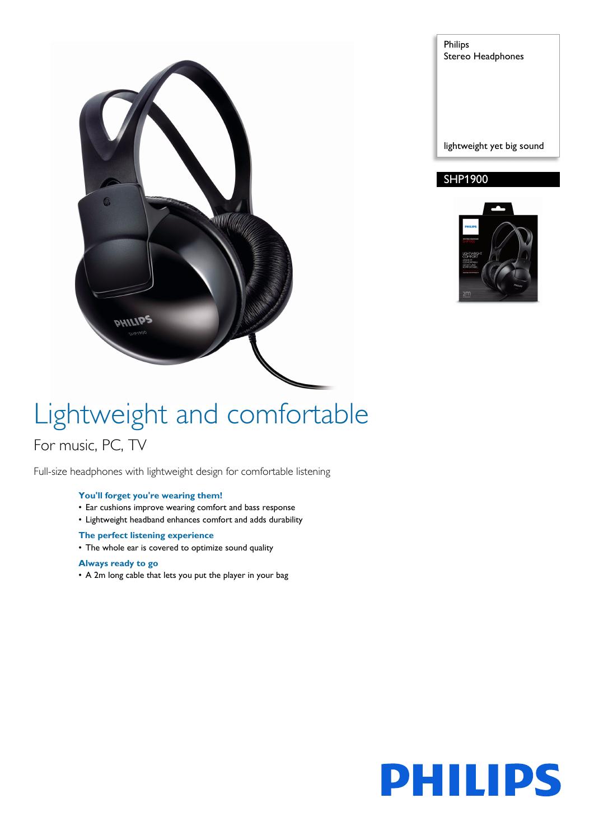

Philips Stereo Headphones

lightweight yet big sound

# SHP1900



# Lightweight and comfortable For music, PC, TV

Full-size headphones with lightweight design for comfortable listening

## **You'll forget you're wearing them!**

- Ear cushions improve wearing comfort and bass response
- Lightweight headband enhances comfort and adds durability

### **The perfect listening experience**

• The whole ear is covered to optimize sound quality

### **Always ready to go**

• A 2m long cable that lets you put the player in your bag